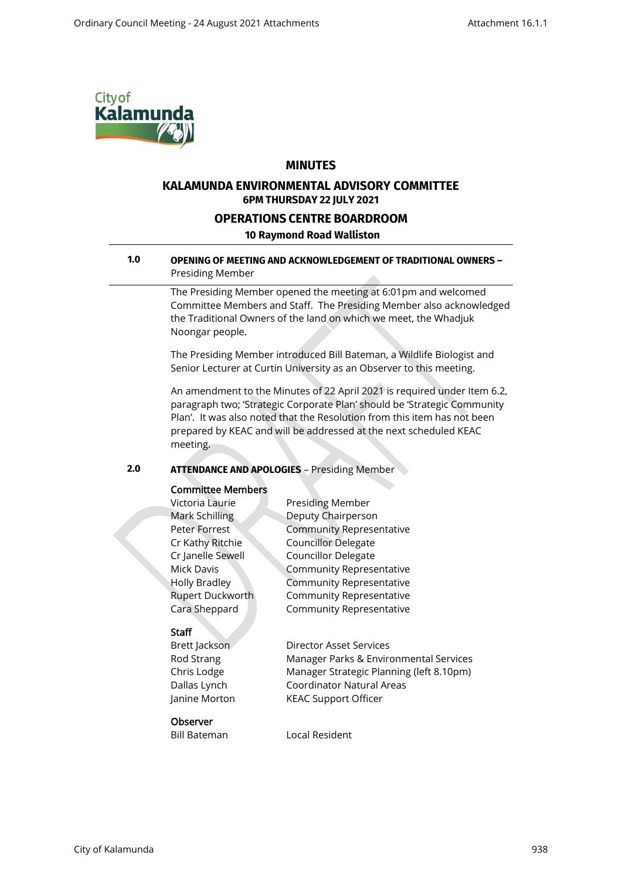

## **MINUTES**

## **KALAMUNDA ENVIRONMENTAL ADVISORY COMMITTEE 6PM THURSDAY 22 JULY 2021**

## **OPERATIONS CENTRE BOARDROOM**

### **10 Raymond Road Walliston**

#### **1.0 OPENING OF MEETING AND ACKNOWLEDGEMENT OF TRADITIONAL OWNERS –** Presiding Member

The Presiding Member opened the meeting at 6:01pm and welcomed Committee Members and Staff. The Presiding Member also acknowledged the Traditional Owners of the land on which we meet, the Whadjuk Noongar people.

The Presiding Member introduced Bill Bateman, a Wildlife Biologist and Senior Lecturer at Curtin University as an Observer to this meeting.

An amendment to the Minutes of 22 April 2021 is required under Item 6.2, paragraph two; 'Strategic Corporate Plan' should be 'Strategic Community Plan'. It was also noted that the Resolution from this item has not been prepared by KEAC and will be addressed at the next scheduled KEAC meeting.

### **2.0 ATTENDANCE AND APOLOGIES** – Presiding Member

## Committee Members

| Victoria Laurie      | <b>Presiding Member</b>         |
|----------------------|---------------------------------|
| Mark Schilling       | Deputy Chairperson              |
| Peter Forrest        | <b>Community Representative</b> |
| Cr Kathy Ritchie     | <b>Councillor Delegate</b>      |
| Cr Janelle Sewell    | <b>Councillor Delegate</b>      |
| Mick Davis           | <b>Community Representative</b> |
| <b>Holly Bradley</b> | <b>Community Representative</b> |
| Rupert Duckworth     | <b>Community Representative</b> |
| Cara Sheppard        | <b>Community Representative</b> |

### Staff

Brett Jackson Director Asset Services Rod Strang Manager Parks & Environmental Services Chris Lodge Manager Strategic Planning (left 8.10pm) Dallas Lynch Coordinator Natural Areas Janine Morton KEAC Support Officer

#### **Observer**

Bill Bateman Local Resident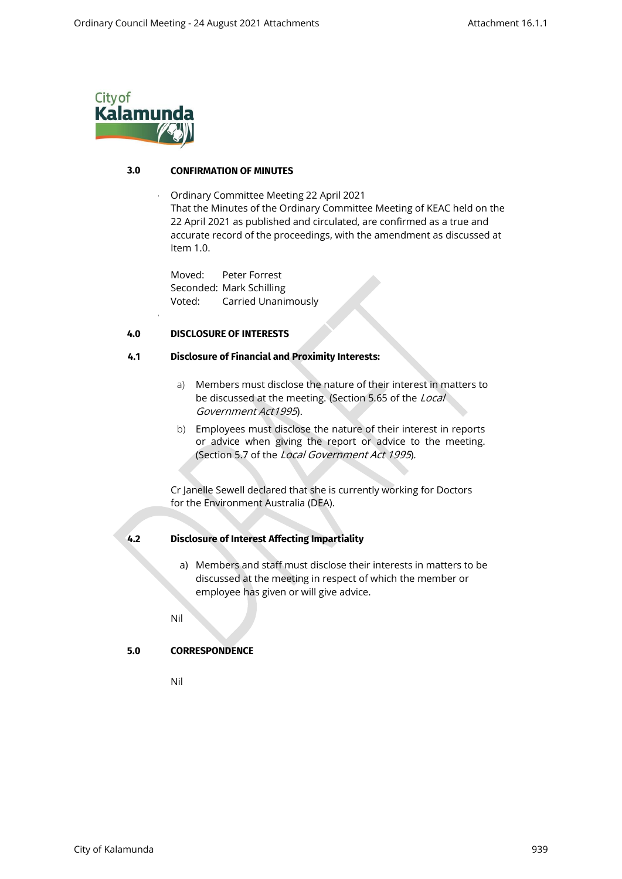

•

## **3.0 CONFIRMATION OF MINUTES**

• Ordinary Committee Meeting 22 April 2021 That the Minutes of the Ordinary Committee Meeting of KEAC held on the 22 April 2021 as published and circulated, are confirmed as a true and accurate record of the proceedings, with the amendment as discussed at Item 1.0.

Moved: Peter Forrest Seconded: Mark Schilling Voted: Carried Unanimously

## **4.0 DISCLOSURE OF INTERESTS**

#### **4.1 Disclosure of Financial and Proximity Interests:**

- a) Members must disclose the nature of their interest in matters to be discussed at the meeting. (Section 5.65 of the Local Government Act1995).
- b) Employees must disclose the nature of their interest in reports or advice when giving the report or advice to the meeting. (Section 5.7 of the Local Government Act 1995).

Cr Janelle Sewell declared that she is currently working for Doctors for the Environment Australia (DEA).

### **4.2 Disclosure of Interest Affecting Impartiality**

a) Members and staff must disclose their interests in matters to be discussed at the meeting in respect of which the member or employee has given or will give advice.

Nil

### **5.0 CORRESPONDENCE**

Nil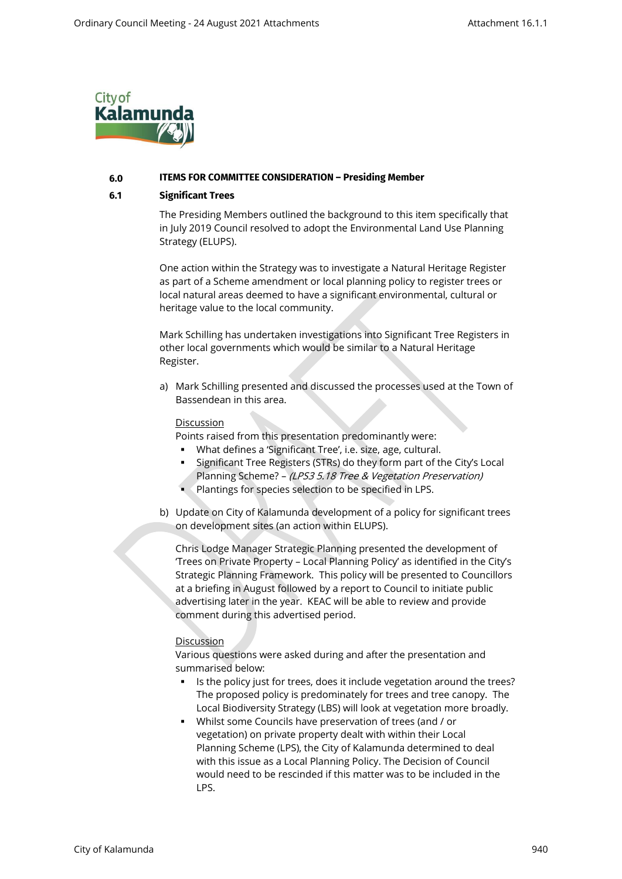

#### **6.0 ITEMS FOR COMMITTEE CONSIDERATION – Presiding Member**

#### **6.1 Significant Trees**

The Presiding Members outlined the background to this item specifically that in July 2019 Council resolved to adopt the Environmental Land Use Planning Strategy (ELUPS).

One action within the Strategy was to investigate a Natural Heritage Register as part of a Scheme amendment or local planning policy to register trees or local natural areas deemed to have a significant environmental, cultural or heritage value to the local community.

Mark Schilling has undertaken investigations into Significant Tree Registers in other local governments which would be similar to a Natural Heritage Register.

a) Mark Schilling presented and discussed the processes used at the Town of Bassendean in this area.

#### **Discussion**

Points raised from this presentation predominantly were:

- What defines a 'Significant Tree', i.e. size, age, cultural.
- Significant Tree Registers (STRs) do they form part of the City's Local Planning Scheme? - (LPS3 5.18 Tree & Vegetation Preservation)
- Plantings for species selection to be specified in LPS.
- b) Update on City of Kalamunda development of a policy for significant trees on development sites (an action within ELUPS).

Chris Lodge Manager Strategic Planning presented the development of 'Trees on Private Property – Local Planning Policy' as identified in the City's Strategic Planning Framework. This policy will be presented to Councillors at a briefing in August followed by a report to Council to initiate public advertising later in the year. KEAC will be able to review and provide comment during this advertised period.

### Discussion

Various questions were asked during and after the presentation and summarised below:

- Is the policy just for trees, does it include vegetation around the trees? The proposed policy is predominately for trees and tree canopy. The Local Biodiversity Strategy (LBS) will look at vegetation more broadly.
- Whilst some Councils have preservation of trees (and / or vegetation) on private property dealt with within their Local Planning Scheme (LPS), the City of Kalamunda determined to deal with this issue as a Local Planning Policy. The Decision of Council would need to be rescinded if this matter was to be included in the LPS.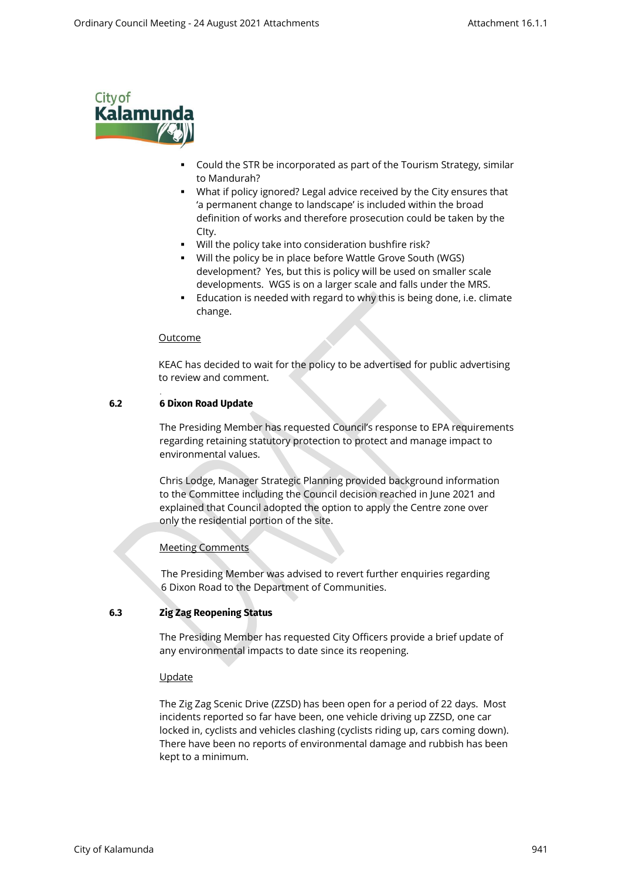

- Could the STR be incorporated as part of the Tourism Strategy, similar to Mandurah?
- What if policy ignored? Legal advice received by the City ensures that 'a permanent change to landscape' is included within the broad definition of works and therefore prosecution could be taken by the CIty.
- Will the policy take into consideration bushfire risk?
- Will the policy be in place before Wattle Grove South (WGS) development? Yes, but this is policy will be used on smaller scale developments. WGS is on a larger scale and falls under the MRS.
- Education is needed with regard to why this is being done, i.e. climate change.

## Outcome

KEAC has decided to wait for the policy to be advertised for public advertising to review and comment.

## **6.2 6 Dixon Road Update**

.

The Presiding Member has requested Council's response to EPA requirements regarding retaining statutory protection to protect and manage impact to environmental values.

Chris Lodge, Manager Strategic Planning provided background information to the Committee including the Council decision reached in June 2021 and explained that Council adopted the option to apply the Centre zone over only the residential portion of the site.

## Meeting Comments

The Presiding Member was advised to revert further enquiries regarding 6 Dixon Road to the Department of Communities.

## **6.3 Zig Zag Reopening Status**

The Presiding Member has requested City Officers provide a brief update of any environmental impacts to date since its reopening.

### Update

The Zig Zag Scenic Drive (ZZSD) has been open for a period of 22 days. Most incidents reported so far have been, one vehicle driving up ZZSD, one car locked in, cyclists and vehicles clashing (cyclists riding up, cars coming down). There have been no reports of environmental damage and rubbish has been kept to a minimum.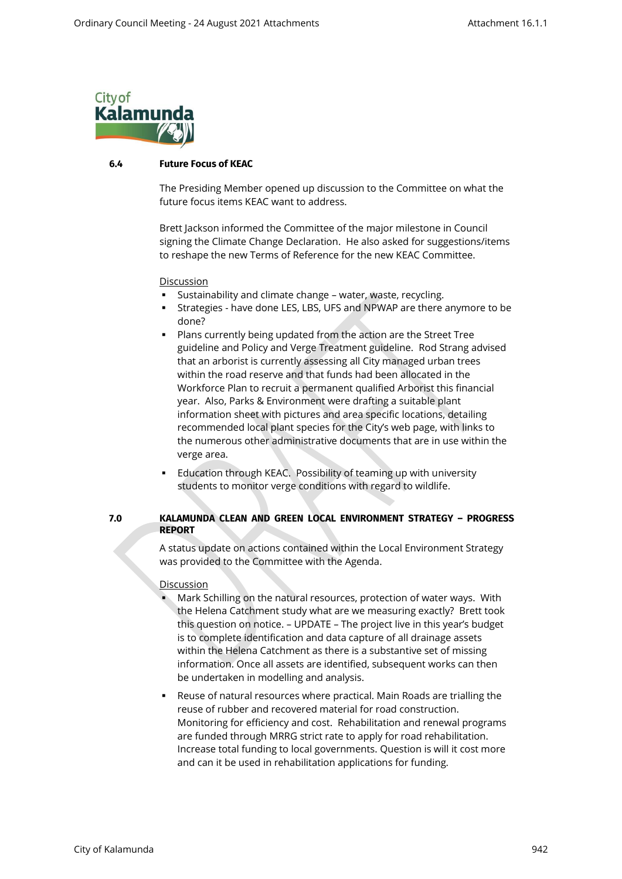

#### **6.4 Future Focus of KEAC**

The Presiding Member opened up discussion to the Committee on what the future focus items KEAC want to address.

Brett Jackson informed the Committee of the major milestone in Council signing the Climate Change Declaration. He also asked for suggestions/items to reshape the new Terms of Reference for the new KEAC Committee.

**Discussion** 

- **EXECTE FIGHTS INTERT SUSTER** Sustainability and climate change water, waste, recycling.
- **EXP** Strategies have done LES, LBS, UFS and NPWAP are there anymore to be done?
- Plans currently being updated from the action are the Street Tree guideline and Policy and Verge Treatment guideline. Rod Strang advised that an arborist is currently assessing all City managed urban trees within the road reserve and that funds had been allocated in the Workforce Plan to recruit a permanent qualified Arborist this financial year. Also, Parks & Environment were drafting a suitable plant information sheet with pictures and area specific locations, detailing recommended local plant species for the City's web page, with links to the numerous other administrative documents that are in use within the verge area.
- **Education through KEAC. Possibility of teaming up with university** students to monitor verge conditions with regard to wildlife.

## **7.0 KALAMUNDA CLEAN AND GREEN LOCAL ENVIRONMENT STRATEGY – PROGRESS REPORT**

A status update on actions contained within the Local Environment Strategy was provided to the Committee with the Agenda.

### **Discussion**

- Mark Schilling on the natural resources, protection of water ways. With the Helena Catchment study what are we measuring exactly? Brett took this question on notice. – UPDATE – The project live in this year's budget is to complete identification and data capture of all drainage assets within the Helena Catchment as there is a substantive set of missing information. Once all assets are identified, subsequent works can then be undertaken in modelling and analysis.
- **EXEL A.** Reuse of natural resources where practical. Main Roads are trialling the reuse of rubber and recovered material for road construction. Monitoring for efficiency and cost. Rehabilitation and renewal programs are funded through MRRG strict rate to apply for road rehabilitation. Increase total funding to local governments. Question is will it cost more and can it be used in rehabilitation applications for funding.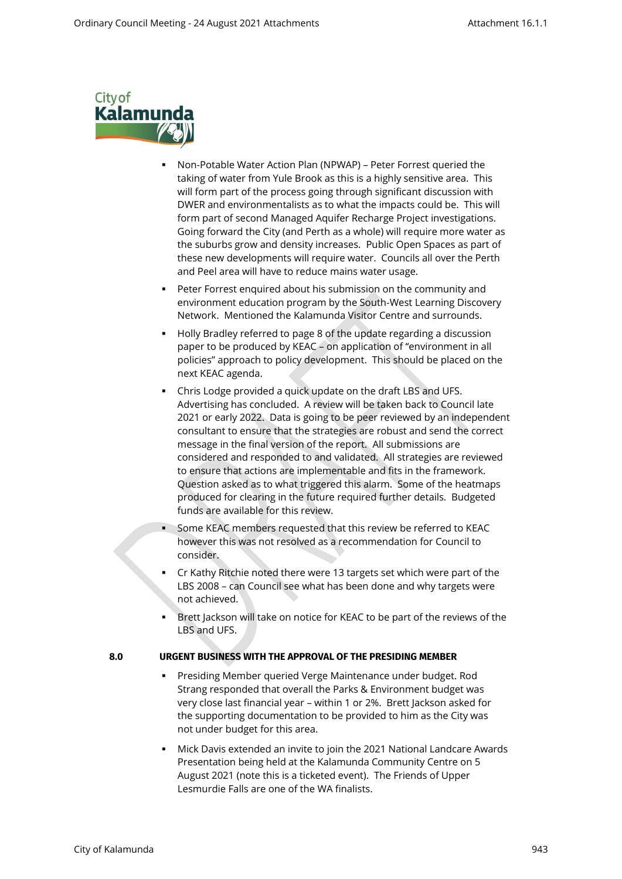

- Non-Potable Water Action Plan (NPWAP) Peter Forrest queried the taking of water from Yule Brook as this is a highly sensitive area. This will form part of the process going through significant discussion with DWER and environmentalists as to what the impacts could be. This will form part of second Managed Aquifer Recharge Project investigations. Going forward the City (and Perth as a whole) will require more water as the suburbs grow and density increases. Public Open Spaces as part of these new developments will require water. Councils all over the Perth and Peel area will have to reduce mains water usage.
- **Peter Forrest enquired about his submission on the community and** environment education program by the South-West Learning Discovery Network. Mentioned the Kalamunda Visitor Centre and surrounds.
- Holly Bradley referred to page 8 of the update regarding a discussion paper to be produced by KEAC – on application of "environment in all policies" approach to policy development. This should be placed on the next KEAC agenda.
- Chris Lodge provided a quick update on the draft LBS and UFS. Advertising has concluded. A review will be taken back to Council late 2021 or early 2022. Data is going to be peer reviewed by an independent consultant to ensure that the strategies are robust and send the correct message in the final version of the report. All submissions are considered and responded to and validated. All strategies are reviewed to ensure that actions are implementable and fits in the framework. Question asked as to what triggered this alarm. Some of the heatmaps produced for clearing in the future required further details. Budgeted funds are available for this review.
- Some KEAC members requested that this review be referred to KEAC however this was not resolved as a recommendation for Council to consider.
- Cr Kathy Ritchie noted there were 13 targets set which were part of the LBS 2008 – can Council see what has been done and why targets were not achieved.
- Brett Jackson will take on notice for KEAC to be part of the reviews of the LBS and UFS.

## **8.0 URGENT BUSINESS WITH THE APPROVAL OF THE PRESIDING MEMBER**

- Presiding Member queried Verge Maintenance under budget. Rod Strang responded that overall the Parks & Environment budget was very close last financial year – within 1 or 2%. Brett Jackson asked for the supporting documentation to be provided to him as the City was not under budget for this area.
- Mick Davis extended an invite to join the 2021 National Landcare Awards Presentation being held at the Kalamunda Community Centre on 5 August 2021 (note this is a ticketed event). The Friends of Upper Lesmurdie Falls are one of the WA finalists.